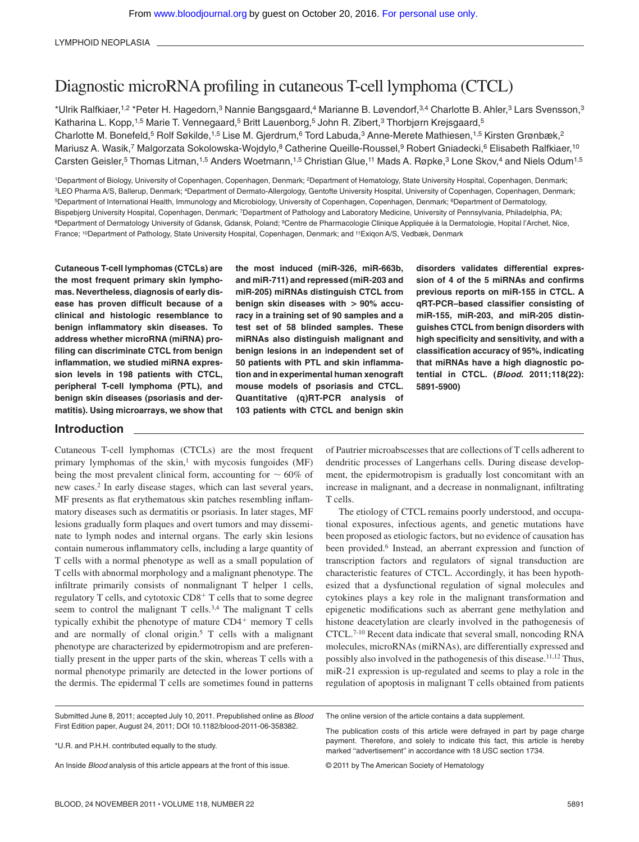LYMPHOID NEOPLASIA

# Diagnostic microRNA profiling in cutaneous T-cell lymphoma (CTCL)

\*Ulrik Ralfkiaer,<sup>1,2</sup> \*Peter H. Hagedorn,<sup>3</sup> Nannie Bangsgaard,<sup>4</sup> Marianne B. Løvendorf,<sup>3,4</sup> Charlotte B. Ahler,<sup>3</sup> Lars Svensson,<sup>3</sup> Katharina L. Kopp,<sup>1,5</sup> Marie T. Vennegaard,<sup>5</sup> Britt Lauenborg,<sup>5</sup> John R. Zibert,<sup>3</sup> Thorbjørn Krejsgaard,<sup>5</sup> Charlotte M. Bonefeld,<sup>5</sup> Rolf Søkilde,<sup>1,5</sup> Lise M. Gjerdrum,<sup>6</sup> Tord Labuda,<sup>3</sup> Anne-Merete Mathiesen,<sup>1,5</sup> Kirsten Grønbæk,<sup>2</sup> Mariusz A. Wasik,<sup>7</sup> Malgorzata Sokolowska-Wojdylo,<sup>8</sup> Catherine Queille-Roussel,<sup>9</sup> Robert Gniadecki,<sup>6</sup> Elisabeth Ralfkiaer,<sup>10</sup> Carsten Geisler,<sup>5</sup> Thomas Litman,<sup>1,5</sup> Anders Woetmann,<sup>1,5</sup> Christian Glue,<sup>11</sup> Mads A. Røpke,<sup>3</sup> Lone Skov,<sup>4</sup> and Niels Odum<sup>1,5</sup>

1Department of Biology, University of Copenhagen, Copenhagen, Denmark; 2Department of Hematology, State University Hospital, Copenhagen, Denmark; 3LEO Pharma A/S, Ballerup, Denmark; 4Department of Dermato-Allergology, Gentofte University Hospital, University of Copenhagen, Copenhagen, Denmark; <sup>5</sup>Department of International Health, Immunology and Microbiology, University of Copenhagen, Copenhagen, Denmark; <sup>6</sup>Department of Dermatology, Bispebjerg University Hospital, Copenhagen, Denmark; 7Department of Pathology and Laboratory Medicine, University of Pennsylvania, Philadelphia, PA; <sup>8</sup>Department of Dermatology University of Gdansk, Gdansk, Poland; <sup>9</sup>Centre de Pharmacologie Clinique Appliquée à la Dermatologie, Hopital l'Archet, Nice, France; 10Department of Pathology, State University Hospital, Copenhagen, Denmark; and 11Exiqon A/S, Vedbæk, Denmark

**Cutaneous T-cell lymphomas (CTCLs) are the most frequent primary skin lymphomas. Nevertheless, diagnosis of early disease has proven difficult because of a clinical and histologic resemblance to benign inflammatory skin diseases. To address whether microRNA (miRNA) profiling can discriminate CTCL from benign inflammation, we studied miRNA expression levels in 198 patients with CTCL, peripheral T-cell lymphoma (PTL), and benign skin diseases (psoriasis and dermatitis). Using microarrays, we show that**

## **Introduction**

Cutaneous T-cell lymphomas (CTCLs) are the most frequent primary lymphomas of the skin, $<sup>1</sup>$  with mycosis fungoides (MF)</sup> being the most prevalent clinical form, accounting for  $\sim 60\%$  of new cases.2 In early disease stages, which can last several years, MF presents as flat erythematous skin patches resembling inflammatory diseases such as dermatitis or psoriasis. In later stages, MF lesions gradually form plaques and overt tumors and may disseminate to lymph nodes and internal organs. The early skin lesions contain numerous inflammatory cells, including a large quantity of T cells with a normal phenotype as well as a small population of T cells with abnormal morphology and a malignant phenotype. The infiltrate primarily consists of nonmalignant T helper 1 cells, regulatory T cells, and cytotoxic CD8<sup>+</sup> T cells that to some degree seem to control the malignant T cells.<sup>3,4</sup> The malignant T cells typically exhibit the phenotype of mature CD4<sup>+</sup> memory T cells and are normally of clonal origin.<sup>5</sup> T cells with a malignant phenotype are characterized by epidermotropism and are preferentially present in the upper parts of the skin, whereas T cells with a normal phenotype primarily are detected in the lower portions of the dermis. The epidermal T cells are sometimes found in patterns

**the most induced (miR-326, miR-663b, and miR-711) and repressed (miR-203 and miR-205) miRNAs distinguish CTCL from benign skin diseases with > 90% accuracy in a training set of 90 samples and a test set of 58 blinded samples. These miRNAs also distinguish malignant and benign lesions in an independent set of 50 patients with PTL and skin inflammation and in experimental human xenograft mouse models of psoriasis and CTCL. Quantitative (q)RT-PCR analysis of 103 patients with CTCL and benign skin**

**disorders validates differential expression of 4 of the 5 miRNAs and confirms previous reports on miR-155 in CTCL. A qRT-PCR–based classifier consisting of miR-155, miR-203, and miR-205 distinguishes CTCL from benign disorders with high specificity and sensitivity, and with a classification accuracy of 95%, indicating that miRNAs have a high diagnostic potential in CTCL. (***Blood***. 2011;118(22): 5891-5900)**

of Pautrier microabscesses that are collections of T cells adherent to dendritic processes of Langerhans cells. During disease development, the epidermotropism is gradually lost concomitant with an increase in malignant, and a decrease in nonmalignant, infiltrating T cells.

The etiology of CTCL remains poorly understood, and occupational exposures, infectious agents, and genetic mutations have been proposed as etiologic factors, but no evidence of causation has been provided.<sup>6</sup> Instead, an aberrant expression and function of transcription factors and regulators of signal transduction are characteristic features of CTCL. Accordingly, it has been hypothesized that a dysfunctional regulation of signal molecules and cytokines plays a key role in the malignant transformation and epigenetic modifications such as aberrant gene methylation and histone deacetylation are clearly involved in the pathogenesis of CTCL.7-10 Recent data indicate that several small, noncoding RNA molecules, microRNAs (miRNAs), are differentially expressed and possibly also involved in the pathogenesis of this disease.<sup>11,12</sup> Thus, miR-21 expression is up-regulated and seems to play a role in the regulation of apoptosis in malignant T cells obtained from patients

| Submitted June 8, 2011; accepted July 10, 2011. Prepublished online as <i>Blood</i><br>First Edition paper, August 24, 2011; DOI 10.1182/blood-2011-06-358382. | The online version of the article contains a data supplement.                                                                                  |  |  |  |  |  |
|----------------------------------------------------------------------------------------------------------------------------------------------------------------|------------------------------------------------------------------------------------------------------------------------------------------------|--|--|--|--|--|
|                                                                                                                                                                | The publication costs of this article were defrayed in part by page charge                                                                     |  |  |  |  |  |
| *U.R. and P.H.H. contributed equally to the study.                                                                                                             | payment. Therefore, and solely to indicate this fact, this article is hereby<br>marked "advertisement" in accordance with 18 USC section 1734. |  |  |  |  |  |
| An Inside <i>Blood</i> analysis of this article appears at the front of this issue.                                                                            | © 2011 by The American Society of Hematology                                                                                                   |  |  |  |  |  |
|                                                                                                                                                                |                                                                                                                                                |  |  |  |  |  |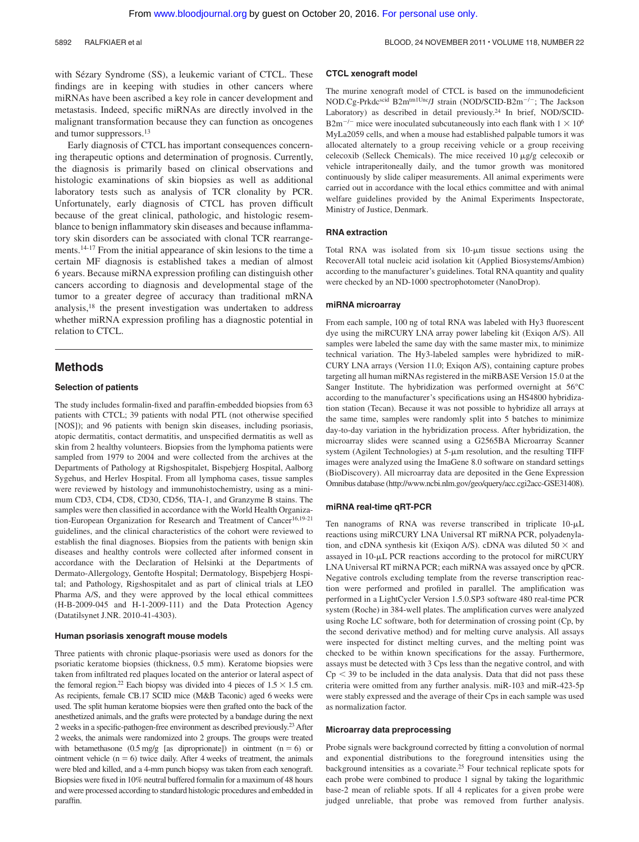with Sézary Syndrome (SS), a leukemic variant of CTCL. These findings are in keeping with studies in other cancers where miRNAs have been ascribed a key role in cancer development and metastasis. Indeed, specific miRNAs are directly involved in the malignant transformation because they can function as oncogenes and tumor suppressors.<sup>13</sup>

Early diagnosis of CTCL has important consequences concerning therapeutic options and determination of prognosis. Currently, the diagnosis is primarily based on clinical observations and histologic examinations of skin biopsies as well as additional laboratory tests such as analysis of TCR clonality by PCR. Unfortunately, early diagnosis of CTCL has proven difficult because of the great clinical, pathologic, and histologic resemblance to benign inflammatory skin diseases and because inflammatory skin disorders can be associated with clonal TCR rearrangements.14-17 From the initial appearance of skin lesions to the time a certain MF diagnosis is established takes a median of almost 6 years. Because miRNA expression profiling can distinguish other cancers according to diagnosis and developmental stage of the tumor to a greater degree of accuracy than traditional mRNA analysis,18 the present investigation was undertaken to address whether miRNA expression profiling has a diagnostic potential in relation to CTCL.

### **Methods**

### **Selection of patients**

The study includes formalin-fixed and paraffin-embedded biopsies from 63 patients with CTCL; 39 patients with nodal PTL (not otherwise specified [NOS]); and 96 patients with benign skin diseases, including psoriasis, atopic dermatitis, contact dermatitis, and unspecified dermatitis as well as skin from 2 healthy volunteers. Biopsies from the lymphoma patients were sampled from 1979 to 2004 and were collected from the archives at the Departments of Pathology at Rigshospitalet, Bispebjerg Hospital, Aalborg Sygehus, and Herlev Hospital. From all lymphoma cases, tissue samples were reviewed by histology and immunohistochemistry, using as a minimum CD3, CD4, CD8, CD30, CD56, TIA-1, and Granzyme B stains. The samples were then classified in accordance with the World Health Organization-European Organization for Research and Treatment of Cancer<sup>16,19-21</sup> guidelines, and the clinical characteristics of the cohort were reviewed to establish the final diagnoses. Biopsies from the patients with benign skin diseases and healthy controls were collected after informed consent in accordance with the Declaration of Helsinki at the Departments of Dermato-Allergology, Gentofte Hospital; Dermatology, Bispebjerg Hospital; and Pathology, Rigshospitalet and as part of clinical trials at LEO Pharma A/S, and they were approved by the local ethical committees (H-B-2009-045 and H-1-2009-111) and the Data Protection Agency (Datatilsynet J.NR. 2010-41-4303).

### **Human psoriasis xenograft mouse models**

Three patients with chronic plaque-psoriasis were used as donors for the psoriatic keratome biopsies (thickness, 0.5 mm). Keratome biopsies were taken from infiltrated red plaques located on the anterior or lateral aspect of the femoral region.<sup>22</sup> Each biopsy was divided into 4 pieces of  $1.5 \times 1.5$  cm. As recipients, female CB.17 SCID mice (M&B Taconic) aged 6 weeks were used. The split human keratome biopsies were then grafted onto the back of the anesthetized animals, and the grafts were protected by a bandage during the next 2 weeks in a specific-pathogen-free environment as described previously.23 After 2 weeks, the animals were randomized into 2 groups. The groups were treated with betamethasone (0.5 mg/g [as diproprionate]) in ointment ( $n = 6$ ) or ointment vehicle  $(n = 6)$  twice daily. After 4 weeks of treatment, the animals were bled and killed, and a 4-mm punch biopsy was taken from each xenograft. Biopsies were fixed in 10% neutral buffered formalin for a maximum of 48 hours and were processed according to standard histologic procedures and embedded in paraffin.

### **CTCL xenograft model**

The murine xenograft model of CTCL is based on the immunodeficient NOD.Cg-Prkdcscid B2m<sup>tm1Unc</sup>/J strain (NOD/SCID-B2m<sup>-/-</sup>; The Jackson Laboratory) as described in detail previously.<sup>24</sup> In brief, NOD/SCID-B2m<sup>-/-</sup> mice were inoculated subcutaneously into each flank with  $1 \times 10^6$ MyLa2059 cells, and when a mouse had established palpable tumors it was allocated alternately to a group receiving vehicle or a group receiving celecoxib (Selleck Chemicals). The mice received  $10 \mu g/g$  celecoxib or vehicle intraperitoneally daily, and the tumor growth was monitored continuously by slide caliper measurements. All animal experiments were carried out in accordance with the local ethics committee and with animal welfare guidelines provided by the Animal Experiments Inspectorate, Ministry of Justice, Denmark.

### **RNA extraction**

Total RNA was isolated from six  $10-\mu m$  tissue sections using the RecoverAll total nucleic acid isolation kit (Applied Biosystems/Ambion) according to the manufacturer's guidelines. Total RNA quantity and quality were checked by an ND-1000 spectrophotometer (NanoDrop).

### **miRNA microarray**

From each sample, 100 ng of total RNA was labeled with Hy3 fluorescent dye using the miRCURY LNA array power labeling kit (Exiqon A/S). All samples were labeled the same day with the same master mix, to minimize technical variation. The Hy3-labeled samples were hybridized to miR-CURY LNA arrays (Version 11.0; Exiqon A/S), containing capture probes targeting all human miRNAs registered in the miRBASE Version 15.0 at the Sanger Institute. The hybridization was performed overnight at 56°C according to the manufacturer's specifications using an HS4800 hybridization station (Tecan). Because it was not possible to hybridize all arrays at the same time, samples were randomly split into 5 batches to minimize day-to-day variation in the hybridization process. After hybridization, the microarray slides were scanned using a G2565BA Microarray Scanner system (Agilent Technologies) at  $5-\mu m$  resolution, and the resulting TIFF images were analyzed using the ImaGene 8.0 software on standard settings (BioDiscovery). All microarray data are deposited in the Gene Expression Omnibus database (http://www.ncbi.nlm.gov/geo/query/acc.cgi2acc-GSE31408).

### **miRNA real-time qRT-PCR**

Ten nanograms of RNA was reverse transcribed in triplicate  $10 - \mu L$ reactions using miRCURY LNA Universal RT miRNA PCR, polyadenylation, and cDNA synthesis kit (Exiqon A/S). cDNA was diluted  $50 \times$  and assayed in 10-µL PCR reactions according to the protocol for miRCURY LNA Universal RT miRNA PCR; each miRNA was assayed once by qPCR. Negative controls excluding template from the reverse transcription reaction were performed and profiled in parallel. The amplification was performed in a LightCycler Version 1.5.0.SP3 software 480 real-time PCR system (Roche) in 384-well plates. The amplification curves were analyzed using Roche LC software, both for determination of crossing point (Cp, by the second derivative method) and for melting curve analysis. All assays were inspected for distinct melting curves, and the melting point was checked to be within known specifications for the assay. Furthermore, assays must be detected with 3 Cps less than the negative control, and with  $Cp < 39$  to be included in the data analysis. Data that did not pass these criteria were omitted from any further analysis. miR-103 and miR-423-5p were stably expressed and the average of their Cps in each sample was used as normalization factor.

### **Microarray data preprocessing**

Probe signals were background corrected by fitting a convolution of normal and exponential distributions to the foreground intensities using the background intensities as a covariate.25 Four technical replicate spots for each probe were combined to produce 1 signal by taking the logarithmic base-2 mean of reliable spots. If all 4 replicates for a given probe were judged unreliable, that probe was removed from further analysis.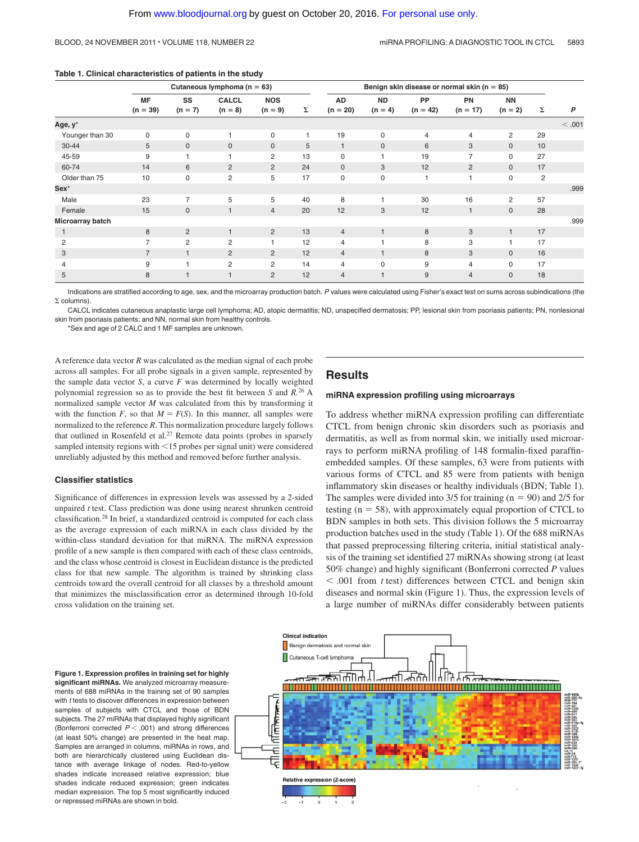### BLOOD, 24 NOVEMBER 2011 · VOLUME 118, NUMBER 22 miRNA PROFILING: A DIAGNOSTIC TOOL IN CTCL 5893

### **Table 1. Clinical characteristics of patients in the study**

|                  | Cutaneous lymphoma ( $n = 63$ ) |                 |                           |                         | Benign skin disease or normal skin ( $n = 85$ ) |                  |                        |                  |                  |                        |                |        |
|------------------|---------------------------------|-----------------|---------------------------|-------------------------|-------------------------------------------------|------------------|------------------------|------------------|------------------|------------------------|----------------|--------|
|                  | <b>MF</b><br>$(n = 39)$         | SS<br>$(n = 7)$ | <b>CALCL</b><br>$(n = 8)$ | <b>NOS</b><br>$(n = 9)$ | Σ                                               | AD<br>$(n = 20)$ | <b>ND</b><br>$(n = 4)$ | PP<br>$(n = 42)$ | PN<br>$(n = 17)$ | <b>NN</b><br>$(n = 2)$ | Σ              | P      |
| Age, y*          |                                 |                 |                           |                         |                                                 |                  |                        |                  |                  |                        |                | < .001 |
| Younger than 30  | 0                               | $\mathbf 0$     |                           | $\mathbf 0$             | $\mathbf{1}$                                    | 19               | 0                      | $\overline{4}$   | 4                | 2                      | 29             |        |
| $30 - 44$        | 5                               | $\mathbf{0}$    | $\mathbf{0}$              | $\mathbf{0}$            | 5                                               | $\overline{1}$   | $\mathbf{0}$           | 6                | 3                | $\mathbf{0}$           | 10             |        |
| 45-59            | 9                               |                 |                           | 2                       | 13                                              | $\mathbf 0$      | $\mathbf{1}$           | 19               | $\overline{7}$   | $\mathbf 0$            | 27             |        |
| 60-74            | 14                              | 6               | $\overline{2}$            | $\overline{2}$          | 24                                              | $\mathbf{0}$     | 3                      | 12               | $\overline{2}$   | $\mathbf{0}$           | 17             |        |
| Older than 75    | 10                              | $\mathbf 0$     | $\overline{c}$            | 5                       | 17                                              | $\mathbf 0$      | $\mathbf 0$            | 1                |                  | $\mathbf 0$            | $\overline{2}$ |        |
| $Sex*$           |                                 |                 |                           |                         |                                                 |                  |                        |                  |                  |                        |                | .999   |
| Male             | 23                              | 7               | 5                         | 5                       | 40                                              | 8                |                        | 30               | 16               | 2                      | 57             |        |
| Female           | 15                              | $\mathbf{0}$    |                           | $\overline{4}$          | 20                                              | 12               | 3                      | 12               | $\mathbf{1}$     | $\mathbf 0$            | 28             |        |
| Microarray batch |                                 |                 |                           |                         |                                                 |                  |                        |                  |                  |                        |                | .999   |
| $\mathbf{1}$     | 8                               | $\overline{2}$  |                           | $\overline{2}$          | 13                                              | $\overline{4}$   | $\overline{1}$         | 8                | 3                | $\mathbf{1}$           | 17             |        |
| 2                |                                 | 2               | 2                         |                         | 12                                              | $\overline{4}$   |                        | 8                | 3                |                        | 17             |        |
| 3                | 7                               |                 | $\overline{2}$            | $\overline{2}$          | 12                                              | $\overline{4}$   | $\mathbf{1}$           | 8                | 3                | $\mathbf{0}$           | 16             |        |
| 4                | 9                               |                 | $\overline{2}$            | 2                       | 14                                              | $\overline{4}$   | $\mathbf 0$            | 9                | 4                | $\mathbf 0$            | 17             |        |
| 5                | 8                               |                 |                           | 2                       | 12                                              | $\overline{4}$   | $\mathbf{1}$           | 9                | 4                | $\mathbf{0}$           | 18             |        |

Indications are stratified according to age, sex, and the microarray production batch. *P* values were calculated using Fisher's exact test on sums across subindications (the  $\Sigma$  columns).

CALCL indicates cutaneous anaplastic large cell lymphoma; AD, atopic dermatitis; ND, unspecified dermatosis; PP, lesional skin from psoriasis patients; PN, nonlesional skin from psoriasis patients; and NN, normal skin from healthy controls.

\*Sex and age of 2 CALC and 1 MF samples are unknown.

A reference data vector *R* was calculated as the median signal of each probe across all samples. For all probe signals in a given sample, represented by the sample data vector  $S$ , a curve  $F$  was determined by locally weighted polynomial regression so as to provide the best fit between *S* and *R.*<sup>26</sup> A normalized sample vector *M* was calculated from this by transforming it with the function *F*, so that  $M = F(S)$ . In this manner, all samples were normalized to the reference *R*. This normalization procedure largely follows that outlined in Rosenfeld et al.<sup>27</sup> Remote data points (probes in sparsely sampled intensity regions with  $\leq 15$  probes per signal unit) were considered unreliably adjusted by this method and removed before further analysis.

### **Classifier statistics**

Significance of differences in expression levels was assessed by a 2-sided unpaired *t* test. Class prediction was done using nearest shrunken centroid classification.28 In brief, a standardized centroid is computed for each class as the average expression of each miRNA in each class divided by the within-class standard deviation for that miRNA. The miRNA expression profile of a new sample is then compared with each of these class centroids, and the class whose centroid is closest in Euclidean distance is the predicted class for that new sample. The algorithm is trained by shrinking class centroids toward the overall centroid for all classes by a threshold amount that minimizes the misclassification error as determined through 10-fold cross validation on the training set.

## **Results**

### **miRNA expression profiling using microarrays**

To address whether miRNA expression profiling can differentiate CTCL from benign chronic skin disorders such as psoriasis and dermatitis, as well as from normal skin, we initially used microarrays to perform miRNA profiling of 148 formalin-fixed paraffinembedded samples. Of these samples, 63 were from patients with various forms of CTCL and 85 were from patients with benign inflammatory skin diseases or healthy individuals (BDN; Table 1). The samples were divided into  $3/5$  for training (n = 90) and  $2/5$  for testing  $(n = 58)$ , with approximately equal proportion of CTCL to BDN samples in both sets. This division follows the 5 microarray production batches used in the study (Table 1). Of the 688 miRNAs that passed preprocessing filtering criteria, initial statistical analysis of the training set identified 27 miRNAs showing strong (at least 50% change) and highly significant (Bonferroni corrected *P* values .001 from *t* test) differences between CTCL and benign skin diseases and normal skin (Figure 1). Thus, the expression levels of a large number of miRNAs differ considerably between patients



**Clinical indication**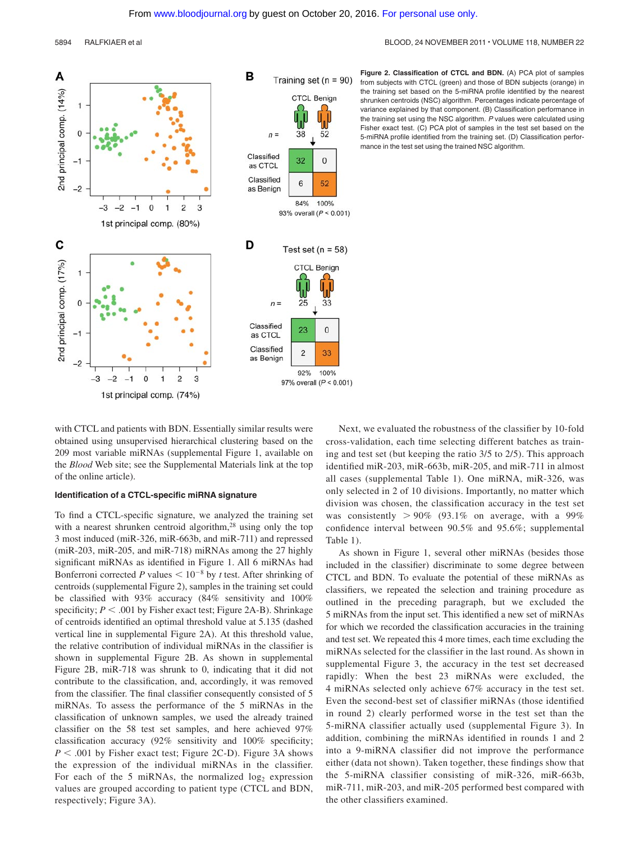Α

2nd principal comp. (14%)

C

2nd principal comp. (17%)

1

 $\Omega$ 

 $-1$ 

 $-2$ 

1

 $\mathbf 0$ 

 $-1$ 

 $-2$ 

### в Training set ( $n = 90$ ) **CTCL Benign** 38 52  $n =$ Classified 32  $\bf 0$ as CTCL Classified  $6\phantom{a}$ 52 as Benign 84% 100%  $-2$  $-1$  $\pmb{0}$ 3  $-3$  $\mathbf{1}$  $\overline{c}$ 93% overall (P < 0.001) 1st principal comp. (80%) D Test set ( $n = 58$ ) **CTCL Benign** 25 33  $n =$ Classified  $\overline{0}$ 23 as CTCL Classified  $\overline{2}$ 33 as Benign 92% 100%  $-3$  $-2$  $-1$  $\bf 0$  $\mathbf{1}$  $\overline{c}$ 3 97% overall (P < 0.001) 1st principal comp. (74%)

**Figure 2. Classification of CTCL and BDN.** (A) PCA plot of samples from subjects with CTCL (green) and those of BDN subjects (orange) in the training set based on the 5-miRNA profile identified by the nearest shrunken centroids (NSC) algorithm. Percentages indicate percentage of variance explained by that component. (B) Classification performance in the training set using the NSC algorithm. *P* values were calculated using Fisher exact test. (C) PCA plot of samples in the test set based on the 5-miRNA profile identified from the training set. (D) Classification performance in the test set using the trained NSC algorithm.

with CTCL and patients with BDN. Essentially similar results were obtained using unsupervised hierarchical clustering based on the 209 most variable miRNAs (supplemental Figure 1, available on the *Blood* Web site; see the Supplemental Materials link at the top of the online article).

### **Identification of a CTCL-specific miRNA signature**

To find a CTCL-specific signature, we analyzed the training set with a nearest shrunken centroid algorithm,<sup>28</sup> using only the top 3 most induced (miR-326, miR-663b, and miR-711) and repressed (miR-203, miR-205, and miR-718) miRNAs among the 27 highly significant miRNAs as identified in Figure 1. All 6 miRNAs had Bonferroni corrected *P* values  $\leq 10^{-8}$  by *t* test. After shrinking of centroids (supplemental Figure 2), samples in the training set could be classified with 93% accuracy (84% sensitivity and 100% specificity;  $P < .001$  by Fisher exact test; Figure 2A-B). Shrinkage of centroids identified an optimal threshold value at 5.135 (dashed vertical line in supplemental Figure 2A). At this threshold value, the relative contribution of individual miRNAs in the classifier is shown in supplemental Figure 2B. As shown in supplemental Figure 2B, miR-718 was shrunk to 0, indicating that it did not contribute to the classification, and, accordingly, it was removed from the classifier. The final classifier consequently consisted of 5 miRNAs. To assess the performance of the 5 miRNAs in the classification of unknown samples, we used the already trained classifier on the 58 test set samples, and here achieved 97% classification accuracy (92% sensitivity and 100% specificity;  $P < .001$  by Fisher exact test; Figure 2C-D). Figure 3A shows the expression of the individual miRNAs in the classifier. For each of the 5 miRNAs, the normalized  $log_2$  expression values are grouped according to patient type (CTCL and BDN, respectively; Figure 3A).

Next, we evaluated the robustness of the classifier by 10-fold cross-validation, each time selecting different batches as training and test set (but keeping the ratio 3/5 to 2/5). This approach identified miR-203, miR-663b, miR-205, and miR-711 in almost all cases (supplemental Table 1). One miRNA, miR-326, was only selected in 2 of 10 divisions. Importantly, no matter which division was chosen, the classification accuracy in the test set was consistently  $> 90\%$  (93.1% on average, with a 99% confidence interval between 90.5% and 95.6%; supplemental Table 1).

As shown in Figure 1, several other miRNAs (besides those included in the classifier) discriminate to some degree between CTCL and BDN. To evaluate the potential of these miRNAs as classifiers, we repeated the selection and training procedure as outlined in the preceding paragraph, but we excluded the 5 miRNAs from the input set. This identified a new set of miRNAs for which we recorded the classification accuracies in the training and test set. We repeated this 4 more times, each time excluding the miRNAs selected for the classifier in the last round. As shown in supplemental Figure 3, the accuracy in the test set decreased rapidly: When the best 23 miRNAs were excluded, the 4 miRNAs selected only achieve 67% accuracy in the test set. Even the second-best set of classifier miRNAs (those identified in round 2) clearly performed worse in the test set than the 5-miRNA classifier actually used (supplemental Figure 3). In addition, combining the miRNAs identified in rounds 1 and 2 into a 9-miRNA classifier did not improve the performance either (data not shown). Taken together, these findings show that the 5-miRNA classifier consisting of miR-326, miR-663b, miR-711, miR-203, and miR-205 performed best compared with the other classifiers examined.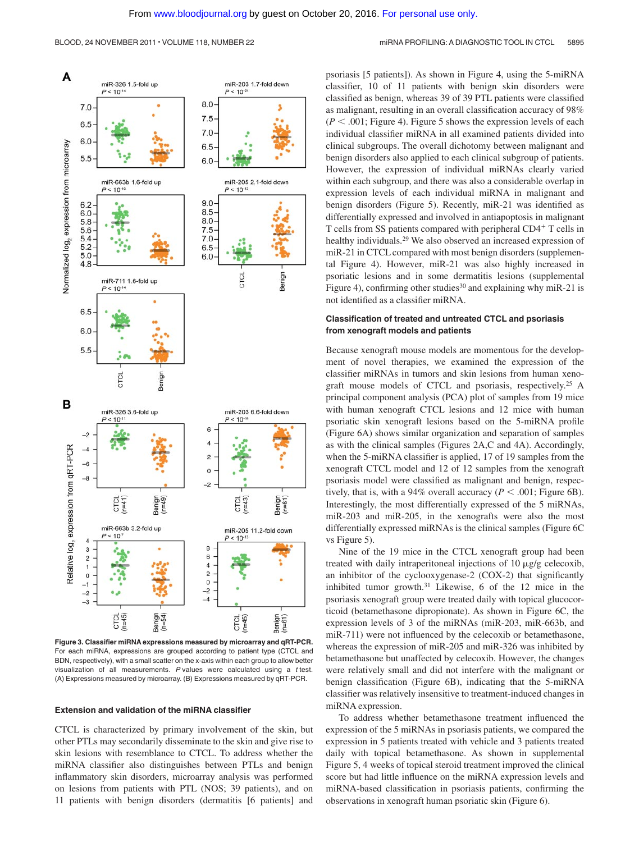

**Figure 3. Classifier miRNA expressions measured by microarray and qRT-PCR.** For each miRNA, expressions are grouped according to patient type (CTCL and BDN, respectively), with a small scatter on the x-axis within each group to allow better visualization of all measurements. *P* values were calculated using a *t* test. (A) Expressions measured by microarray. (B) Expressions measured by qRT-PCR.

### **Extension and validation of the miRNA classifier**

CTCL is characterized by primary involvement of the skin, but other PTLs may secondarily disseminate to the skin and give rise to skin lesions with resemblance to CTCL. To address whether the miRNA classifier also distinguishes between PTLs and benign inflammatory skin disorders, microarray analysis was performed on lesions from patients with PTL (NOS; 39 patients), and on 11 patients with benign disorders (dermatitis [6 patients] and

psoriasis [5 patients]). As shown in Figure 4, using the 5-miRNA classifier, 10 of 11 patients with benign skin disorders were classified as benign, whereas 39 of 39 PTL patients were classified as malignant, resulting in an overall classification accuracy of 98%  $(P < .001;$  Figure 4). Figure 5 shows the expression levels of each individual classifier miRNA in all examined patients divided into clinical subgroups. The overall dichotomy between malignant and benign disorders also applied to each clinical subgroup of patients. However, the expression of individual miRNAs clearly varied within each subgroup, and there was also a considerable overlap in expression levels of each individual miRNA in malignant and benign disorders (Figure 5). Recently, miR-21 was identified as differentially expressed and involved in antiapoptosis in malignant T cells from SS patients compared with peripheral CD4+ T cells in healthy individuals.<sup>29</sup> We also observed an increased expression of miR-21 in CTCL compared with most benign disorders (supplemental Figure 4). However, miR-21 was also highly increased in psoriatic lesions and in some dermatitis lesions (supplemental Figure 4), confirming other studies<sup>30</sup> and explaining why miR-21 is not identified as a classifier miRNA.

### **Classification of treated and untreated CTCL and psoriasis from xenograft models and patients**

Because xenograft mouse models are momentous for the development of novel therapies, we examined the expression of the classifier miRNAs in tumors and skin lesions from human xenograft mouse models of CTCL and psoriasis, respectively.25 A principal component analysis (PCA) plot of samples from 19 mice with human xenograft CTCL lesions and 12 mice with human psoriatic skin xenograft lesions based on the 5-miRNA profile (Figure 6A) shows similar organization and separation of samples as with the clinical samples (Figures 2A,C and 4A). Accordingly, when the 5-miRNA classifier is applied, 17 of 19 samples from the xenograft CTCL model and 12 of 12 samples from the xenograft psoriasis model were classified as malignant and benign, respectively, that is, with a 94% overall accuracy ( $P < .001$ ; Figure 6B). Interestingly, the most differentially expressed of the 5 miRNAs, miR-203 and miR-205, in the xenografts were also the most differentially expressed miRNAs is the clinical samples (Figure 6C vs Figure 5).

Nine of the 19 mice in the CTCL xenograft group had been treated with daily intraperitoneal injections of  $10 \mu g/g$  celecoxib, an inhibitor of the cyclooxygenase-2 (COX-2) that significantly inhibited tumor growth.31 Likewise, 6 of the 12 mice in the psoriasis xenograft group were treated daily with topical glucocorticoid (betamethasone dipropionate). As shown in Figure 6C, the expression levels of 3 of the miRNAs (miR-203, miR-663b, and miR-711) were not influenced by the celecoxib or betamethasone, whereas the expression of miR-205 and miR-326 was inhibited by betamethasone but unaffected by celecoxib. However, the changes were relatively small and did not interfere with the malignant or benign classification (Figure 6B), indicating that the 5-miRNA classifier was relatively insensitive to treatment-induced changes in miRNA expression.

To address whether betamethasone treatment influenced the expression of the 5 miRNAs in psoriasis patients, we compared the expression in 5 patients treated with vehicle and 3 patients treated daily with topical betamethasone. As shown in supplemental Figure 5, 4 weeks of topical steroid treatment improved the clinical score but had little influence on the miRNA expression levels and miRNA-based classification in psoriasis patients, confirming the observations in xenograft human psoriatic skin (Figure 6).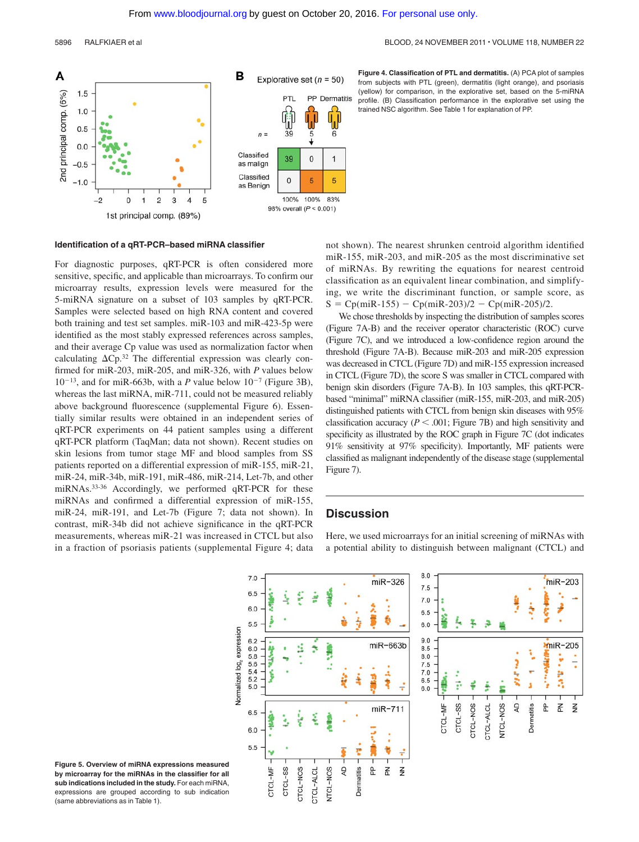5896 RALFKIAER et al BLOOD, 24 NOVEMBER 2011 • VOLUME 118, NUMBER 22

### Α в Explorative set ( $n = 50$ ) 2nd principal comp. (6%)  $1.5$ PP Dermatitis PTI  $1.0$  $0.5$  $6$ 39 5  $n =$  $0.0$ Classified  $\bf 0$ 39 1  $-0.5$ as malign Classified  $\mathbf 0$ 5 5  $-1.0$ as Benign 100% 100% 83%  $-2$  $\mathbf{0}$  $\mathbf{1}$  $\overline{2}$ 3  $\overline{4}$ 5 98% overall  $(P < 0.001)$

1st principal comp. (89%)

**Figure 4. Classification of PTL and dermatitis.** (A) PCA plot of samples from subjects with PTL (green), dermatitis (light orange), and psoriasis (yellow) for comparison, in the explorative set, based on the 5-miRNA profile. (B) Classification performance in the explorative set using the trained NSC algorithm. See Table 1 for explanation of PP.

### **Identification of a qRT-PCR–based miRNA classifier**

For diagnostic purposes, qRT-PCR is often considered more sensitive, specific, and applicable than microarrays. To confirm our microarray results, expression levels were measured for the 5-miRNA signature on a subset of 103 samples by qRT-PCR. Samples were selected based on high RNA content and covered both training and test set samples. miR-103 and miR-423-5p were identified as the most stably expressed references across samples, and their average Cp value was used as normalization factor when calculating  $\Delta Cp^{32}$  The differential expression was clearly confirmed for miR-203, miR-205, and miR-326, with *P* values below  $10^{-13}$ , and for miR-663b, with a *P* value below  $10^{-7}$  (Figure 3B), whereas the last miRNA, miR-711, could not be measured reliably above background fluorescence (supplemental Figure 6). Essentially similar results were obtained in an independent series of qRT-PCR experiments on 44 patient samples using a different qRT-PCR platform (TaqMan; data not shown). Recent studies on skin lesions from tumor stage MF and blood samples from SS patients reported on a differential expression of miR-155, miR-21, miR-24, miR-34b, miR-191, miR-486, miR-214, Let-7b, and other miRNAs.33-36 Accordingly, we performed qRT-PCR for these miRNAs and confirmed a differential expression of miR-155, miR-24, miR-191, and Let-7b (Figure 7; data not shown). In contrast, miR-34b did not achieve significance in the qRT-PCR measurements, whereas miR-21 was increased in CTCL but also in a fraction of psoriasis patients (supplemental Figure 4; data not shown). The nearest shrunken centroid algorithm identified miR-155, miR-203, and miR-205 as the most discriminative set of miRNAs. By rewriting the equations for nearest centroid classification as an equivalent linear combination, and simplifying, we write the discriminant function, or sample score, as  $S = Cp(miR-155) - Cp(miR-203)/2 - Cp(miR-205)/2.$ 

We chose thresholds by inspecting the distribution of samples scores (Figure 7A-B) and the receiver operator characteristic (ROC) curve (Figure 7C), and we introduced a low-confidence region around the threshold (Figure 7A-B). Because miR-203 and miR-205 expression was decreased in CTCL (Figure 7D) and miR-155 expression increased in CTCL (Figure 7D), the score S was smaller in CTCL compared with benign skin disorders (Figure 7A-B). In 103 samples, this qRT-PCRbased "minimal" miRNA classifier (miR-155, miR-203, and miR-205) distinguished patients with CTCL from benign skin diseases with 95% classification accuracy ( $P < .001$ ; Figure 7B) and high sensitivity and specificity as illustrated by the ROC graph in Figure 7C (dot indicates 91% sensitivity at 97% specificity). Importantly, MF patients were classified as malignant independently of the disease stage (supplemental Figure 7).

## **Discussion**

Here, we used microarrays for an initial screening of miRNAs with a potential ability to distinguish between malignant (CTCL) and



**Figure 5. Overview of miRNA expressions measured by microarray for the miRNAs in the classifier for all sub indications included in the study.** For each miRNA, expressions are grouped according to sub indication (same abbreviations as in Table 1).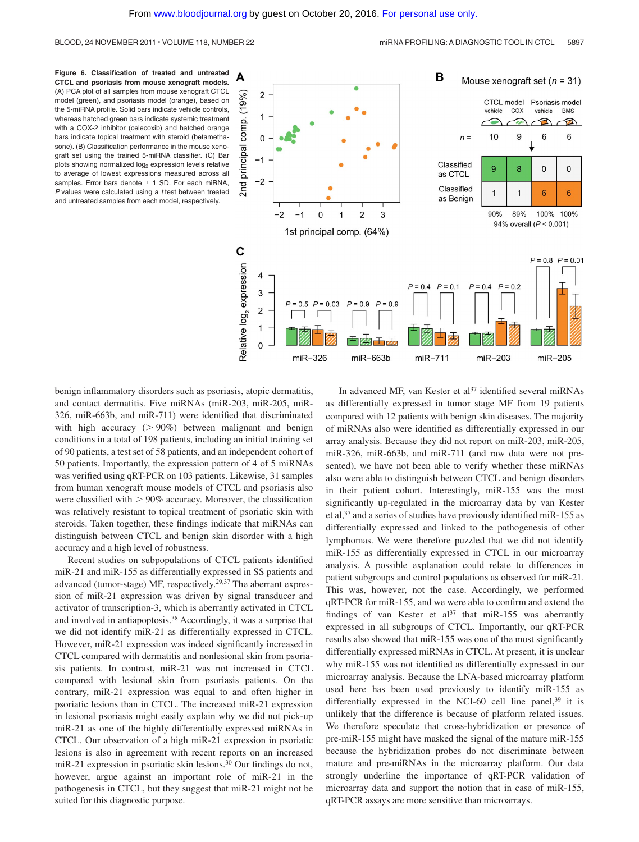**Figure 6. Classification of treated and untreated CTCL and psoriasis from mouse xenograft models.** (A) PCA plot of all samples from mouse xenograft CTCL model (green), and psoriasis model (orange), based on the 5-miRNA profile. Solid bars indicate vehicle controls, whereas hatched green bars indicate systemic treatment with a COX-2 inhibitor (celecoxib) and hatched orange bars indicate topical treatment with steroid (betamethasone). (B) Classification performance in the mouse xenograft set using the trained 5-miRNA classifier. (C) Bar plots showing normalized log<sub>2</sub> expression levels relative to average of lowest expressions measured across all samples. Error bars denote  $\pm$  1 SD. For each miRNA, *P* values were calculated using a *t* test between treated and untreated samples from each model, respectively.



benign inflammatory disorders such as psoriasis, atopic dermatitis, and contact dermatitis. Five miRNAs (miR-203, miR-205, miR-326, miR-663b, and miR-711) were identified that discriminated with high accuracy  $(> 90\%)$  between malignant and benign conditions in a total of 198 patients, including an initial training set of 90 patients, a test set of 58 patients, and an independent cohort of 50 patients. Importantly, the expression pattern of 4 of 5 miRNAs was verified using qRT-PCR on 103 patients. Likewise, 31 samples from human xenograft mouse models of CTCL and psoriasis also were classified with  $> 90\%$  accuracy. Moreover, the classification was relatively resistant to topical treatment of psoriatic skin with steroids. Taken together, these findings indicate that miRNAs can distinguish between CTCL and benign skin disorder with a high accuracy and a high level of robustness.

Recent studies on subpopulations of CTCL patients identified miR-21 and miR-155 as differentially expressed in SS patients and advanced (tumor-stage) MF, respectively.29,37 The aberrant expression of miR-21 expression was driven by signal transducer and activator of transcription-3, which is aberrantly activated in CTCL and involved in antiapoptosis.38 Accordingly, it was a surprise that we did not identify miR-21 as differentially expressed in CTCL. However, miR-21 expression was indeed significantly increased in CTCL compared with dermatitis and nonlesional skin from psoriasis patients. In contrast, miR-21 was not increased in CTCL compared with lesional skin from psoriasis patients. On the contrary, miR-21 expression was equal to and often higher in psoriatic lesions than in CTCL. The increased miR-21 expression in lesional psoriasis might easily explain why we did not pick-up miR-21 as one of the highly differentially expressed miRNAs in CTCL. Our observation of a high miR-21 expression in psoriatic lesions is also in agreement with recent reports on an increased miR-21 expression in psoriatic skin lesions.30 Our findings do not, however, argue against an important role of miR-21 in the pathogenesis in CTCL, but they suggest that miR-21 might not be suited for this diagnostic purpose.

In advanced MF, van Kester et al<sup>37</sup> identified several miRNAs as differentially expressed in tumor stage MF from 19 patients compared with 12 patients with benign skin diseases. The majority of miRNAs also were identified as differentially expressed in our array analysis. Because they did not report on miR-203, miR-205, miR-326, miR-663b, and miR-711 (and raw data were not presented), we have not been able to verify whether these miRNAs also were able to distinguish between CTCL and benign disorders in their patient cohort. Interestingly, miR-155 was the most significantly up-regulated in the microarray data by van Kester et al,  $37$  and a series of studies have previously identified miR-155 as differentially expressed and linked to the pathogenesis of other lymphomas. We were therefore puzzled that we did not identify miR-155 as differentially expressed in CTCL in our microarray analysis. A possible explanation could relate to differences in patient subgroups and control populations as observed for miR-21. This was, however, not the case. Accordingly, we performed qRT-PCR for miR-155, and we were able to confirm and extend the findings of van Kester et al<sup>37</sup> that miR-155 was aberrantly expressed in all subgroups of CTCL. Importantly, our qRT-PCR results also showed that miR-155 was one of the most significantly differentially expressed miRNAs in CTCL. At present, it is unclear why miR-155 was not identified as differentially expressed in our microarray analysis. Because the LNA-based microarray platform used here has been used previously to identify miR-155 as differentially expressed in the NCI-60 cell line panel, $39$  it is unlikely that the difference is because of platform related issues. We therefore speculate that cross-hybridization or presence of pre-miR-155 might have masked the signal of the mature miR-155 because the hybridization probes do not discriminate between mature and pre-miRNAs in the microarray platform. Our data strongly underline the importance of qRT-PCR validation of microarray data and support the notion that in case of miR-155, qRT-PCR assays are more sensitive than microarrays.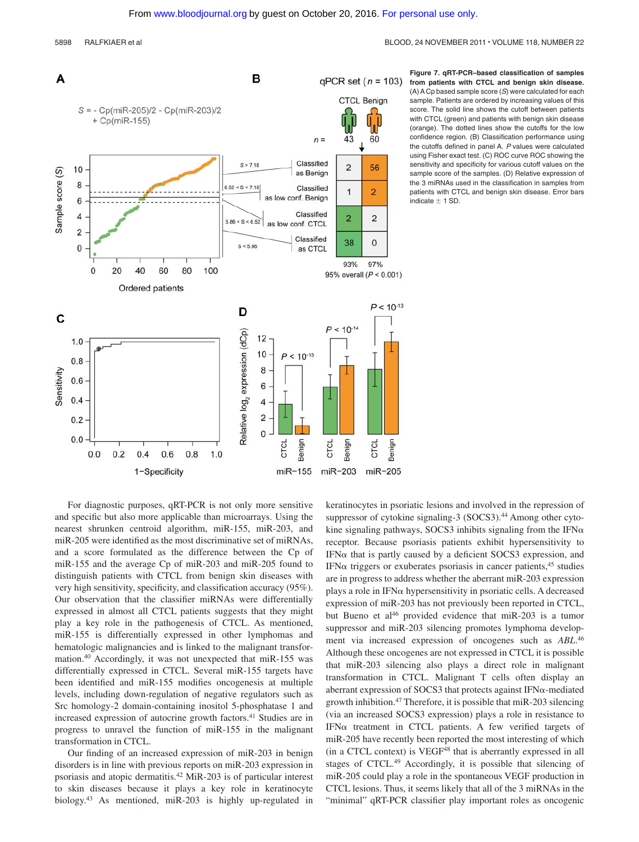### 5898 RALFKIAER et al BLOOD, 24 NOVEMBER 2011 • VOLUME 118, NUMBER 22



**Figure 7. qRT-PCR–based classification of samples from patients with CTCL and benign skin disease.** (A) A Cp based sample score (*S*) were calculated for each sample. Patients are ordered by increasing values of this score. The solid line shows the cutoff between patients with CTCL (green) and patients with benign skin disease (orange). The dotted lines show the cutoffs for the low confidence region. (B) Classification performance using the cutoffs defined in panel A. *P* values were calculated using Fisher exact test. (C) ROC curve ROC showing the sensitivity and specificity for various cutoff values on the sample score of the samples. (D) Relative expression of the 3 miRNAs used in the classification in samples from patients with CTCL and benign skin disease. Error bars indicate  $\pm$  1 SD.

For diagnostic purposes, qRT-PCR is not only more sensitive and specific but also more applicable than microarrays. Using the nearest shrunken centroid algorithm, miR-155, miR-203, and miR-205 were identified as the most discriminative set of miRNAs, and a score formulated as the difference between the Cp of miR-155 and the average Cp of miR-203 and miR-205 found to distinguish patients with CTCL from benign skin diseases with very high sensitivity, specificity, and classification accuracy (95%). Our observation that the classifier miRNAs were differentially expressed in almost all CTCL patients suggests that they might play a key role in the pathogenesis of CTCL. As mentioned, miR-155 is differentially expressed in other lymphomas and hematologic malignancies and is linked to the malignant transformation.40 Accordingly, it was not unexpected that miR-155 was differentially expressed in CTCL. Several miR-155 targets have been identified and miR-155 modifies oncogenesis at multiple levels, including down-regulation of negative regulators such as Src homology-2 domain-containing inositol 5-phosphatase 1 and increased expression of autocrine growth factors.<sup>41</sup> Studies are in progress to unravel the function of miR-155 in the malignant transformation in CTCL.

Our finding of an increased expression of miR-203 in benign disorders is in line with previous reports on miR-203 expression in psoriasis and atopic dermatitis.42 MiR-203 is of particular interest to skin diseases because it plays a key role in keratinocyte biology.43 As mentioned, miR-203 is highly up-regulated in keratinocytes in psoriatic lesions and involved in the repression of suppressor of cytokine signaling-3 (SOCS3).<sup>44</sup> Among other cytokine signaling pathways, SOCS3 inhibits signaling from the IFN $\alpha$ receptor. Because psoriasis patients exhibit hypersensitivity to IFN $\alpha$  that is partly caused by a deficient SOCS3 expression, and IFN $\alpha$  triggers or exuberates psoriasis in cancer patients,  $45$  studies are in progress to address whether the aberrant miR-203 expression plays a role in  $IFN\alpha$  hypersensitivity in psoriatic cells. A decreased expression of miR-203 has not previously been reported in CTCL, but Bueno et al<sup>46</sup> provided evidence that miR-203 is a tumor suppressor and miR-203 silencing promotes lymphoma development via increased expression of oncogenes such as *ABL*. 46 Although these oncogenes are not expressed in CTCL it is possible that miR-203 silencing also plays a direct role in malignant transformation in CTCL. Malignant T cells often display an aberrant expression of SOCS3 that protects against IFN $\alpha$ -mediated growth inhibition.47 Therefore, it is possible that miR-203 silencing (via an increased SOCS3 expression) plays a role in resistance to IFN $\alpha$  treatment in CTCL patients. A few verified targets of miR-205 have recently been reported the most interesting of which (in a CTCL context) is VEGF48 that is aberrantly expressed in all stages of CTCL.49 Accordingly, it is possible that silencing of miR-205 could play a role in the spontaneous VEGF production in CTCL lesions. Thus, it seems likely that all of the 3 miRNAs in the "minimal" qRT-PCR classifier play important roles as oncogenic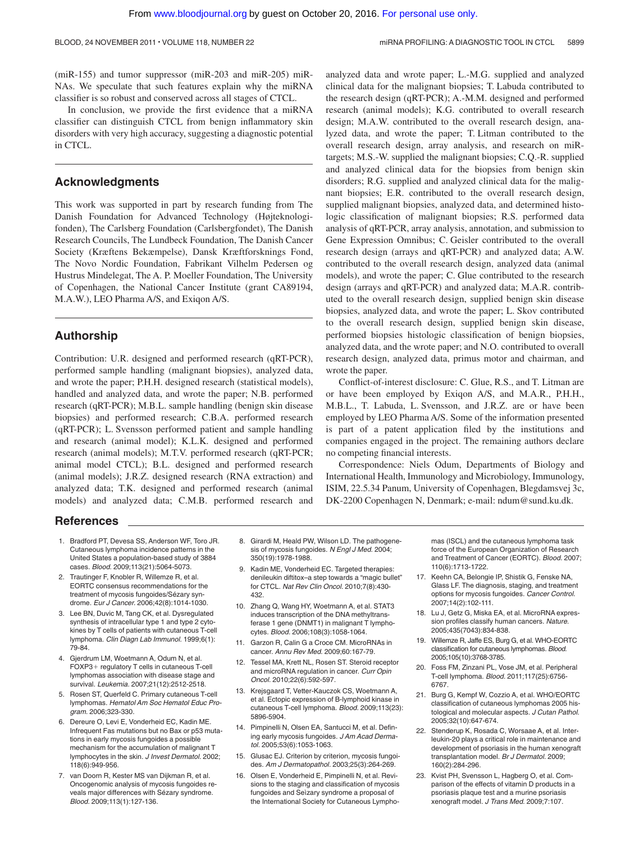(miR-155) and tumor suppressor (miR-203 and miR-205) miR-NAs. We speculate that such features explain why the miRNA classifier is so robust and conserved across all stages of CTCL.

In conclusion, we provide the first evidence that a miRNA classifier can distinguish CTCL from benign inflammatory skin disorders with very high accuracy, suggesting a diagnostic potential in CTCL.

## **Acknowledgments**

This work was supported in part by research funding from The Danish Foundation for Advanced Technology (Højteknologifonden), The Carlsberg Foundation (Carlsbergfondet), The Danish Research Councils, The Lundbeck Foundation, The Danish Cancer Society (Kræftens Bekæmpelse), Dansk Kræftforsknings Fond, The Novo Nordic Foundation, Fabrikant Vilhelm Pedersen og Hustrus Mindelegat, The A. P. Moeller Foundation, The University of Copenhagen, the National Cancer Institute (grant CA89194, M.A.W.), LEO Pharma A/S, and Exiqon A/S.

## **Authorship**

Contribution: U.R. designed and performed research (qRT-PCR), performed sample handling (malignant biopsies), analyzed data, and wrote the paper; P.H.H. designed research (statistical models), handled and analyzed data, and wrote the paper; N.B. performed research (qRT-PCR); M.B.L. sample handling (benign skin disease biopsies) and performed research; C.B.A. performed research (qRT-PCR); L. Svensson performed patient and sample handling and research (animal model); K.L.K. designed and performed research (animal models); M.T.V. performed research (qRT-PCR; animal model CTCL); B.L. designed and performed research (animal models); J.R.Z. designed research (RNA extraction) and analyzed data; T.K. designed and performed research (animal models) and analyzed data; C.M.B. performed research and

analyzed data and wrote paper; L.-M.G. supplied and analyzed clinical data for the malignant biopsies; T. Labuda contributed to the research design (qRT-PCR); A.-M.M. designed and performed research (animal models); K.G. contributed to overall research design; M.A.W. contributed to the overall research design, analyzed data, and wrote the paper; T. Litman contributed to the overall research design, array analysis, and research on miRtargets; M.S.-W. supplied the malignant biopsies; C.Q.-R. supplied and analyzed clinical data for the biopsies from benign skin disorders; R.G. supplied and analyzed clinical data for the malignant biopsies; E.R. contributed to the overall research design, supplied malignant biopsies, analyzed data, and determined histologic classification of malignant biopsies; R.S. performed data analysis of qRT-PCR, array analysis, annotation, and submission to Gene Expression Omnibus; C. Geisler contributed to the overall research design (arrays and qRT-PCR) and analyzed data; A.W. contributed to the overall research design, analyzed data (animal models), and wrote the paper; C. Glue contributed to the research design (arrays and qRT-PCR) and analyzed data; M.A.R. contributed to the overall research design, supplied benign skin disease biopsies, analyzed data, and wrote the paper; L. Skov contributed to the overall research design, supplied benign skin disease, performed biopsies histologic classification of benign biopsies, analyzed data, and the wrote paper; and N.O. contributed to overall research design, analyzed data, primus motor and chairman, and wrote the paper.

Conflict-of-interest disclosure: C. Glue, R.S., and T. Litman are or have been employed by Exiqon A/S, and M.A.R., P.H.H., M.B.L., T. Labuda, L. Svensson, and J.R.Z. are or have been employed by LEO Pharma A/S. Some of the information presented is part of a patent application filed by the institutions and companies engaged in the project. The remaining authors declare no competing financial interests.

Correspondence: Niels Odum, Departments of Biology and International Health, Immunology and Microbiology, Immunology, ISIM, 22.5.34 Panum, University of Copenhagen, Blegdamsvej 3c, DK-2200 Copenhagen N, Denmark; e-mail: ndum@sund.ku.dk.

## **References**

- 1. Bradford PT, Devesa SS, Anderson WF, Toro JR. Cutaneous lymphoma incidence patterns in the United States a population-based study of 3884 cases. *Blood.* 2009;113(21):5064-5073.
- 2. Trautinger F, Knobler R, Willemze R, et al. EORTC consensus recommendations for the treatment of mycosis fungoides/Sézary syndrome. *Eur J Cancer.* 2006;42(8):1014-1030.
- 3. Lee BN, Duvic M, Tang CK, et al. Dysregulated synthesis of intracellular type 1 and type 2 cytokines by T cells of patients with cutaneous T-cell lymphoma. *Clin Diagn Lab Immunol.* 1999;6(1): 79-84.
- 4. Gjerdrum LM, Woetmann A, Odum N, et al. FOXP3- regulatory T cells in cutaneous T-cell lymphomas association with disease stage and survival. *Leukemia.* 2007;21(12):2512-2518.
- 5. Rosen ST, Querfeld C. Primary cutaneous T-cell lymphomas. *Hematol Am Soc Hematol Educ Program.* 2006;323-330.
- 6. Dereure O, Levi E, Vonderheid EC, Kadin ME. Infrequent Fas mutations but no Bax or p53 mutations in early mycosis fungoides a possible mechanism for the accumulation of malignant T lymphocytes in the skin. *J Invest Dermatol.* 2002; 118(6):949-956.
- 7. van Doorn R, Kester MS van Dijkman R, et al. Oncogenomic analysis of mycosis fungoides reveals major differences with Sézary syndrome. *Blood.* 2009;113(1):127-136.
- 8. Girardi M, Heald PW, Wilson LD. The pathogenesis of mycosis fungoides. *N Engl J Med.* 2004; 350(19):1978-1988.
- 9. Kadin ME, Vonderheid EC. Targeted therapies: denileukin diftitox–a step towards a "magic bullet" for CTCL. *Nat Rev Clin Oncol.* 2010;7(8):430- 432.
- 10. Zhang Q, Wang HY, Woetmann A, et al. STAT3 induces transcription of the DNA methyltransferase 1 gene (DNMT1) in malignant T lymphocytes. *Blood.* 2006;108(3):1058-1064.
- 11. Garzon R, Calin G a Croce CM. MicroRNAs in cancer. *Annu Rev Med.* 2009;60:167-79.
- 12. Tessel MA, Krett NL, Rosen ST. Steroid receptor and microRNA regulation in cancer. *Curr Opin Oncol.* 2010;22(6):592-597.
- 13. Krejsgaard T, Vetter-Kauczok CS, Woetmann A, et al. Ectopic expression of B-lymphoid kinase in cutaneous T-cell lymphoma. *Blood.* 2009;113(23): 5896-5904.
- 14. Pimpinelli N, Olsen EA, Santucci M, et al. Defining early mycosis fungoides. *J Am Acad Dermatol.* 2005;53(6):1053-1063.
- 15. Glusac EJ. Criterion by criterion, mycosis fungoides. *Am J Dermatopathol.* 2003;25(3):264-269.
- 16. Olsen E, Vonderheid E, Pimpinelli N, et al. Revisions to the staging and classification of mycosis fungoides and Seìzary syndrome a proposal of the International Society for Cutaneous Lympho-

mas (ISCL) and the cutaneous lymphoma task force of the European Organization of Research and Treatment of Cancer (EORTC). *Blood.* 2007; 110(6):1713-1722.

- 17. Keehn CA, Belongie IP, Shistik G, Fenske NA, Glass LF. The diagnosis, staging, and treatment options for mycosis fungoides. *Cancer Control.* 2007;14(2):102-111.
- 18. Lu J, Getz G, Miska EA, et al. MicroRNA expression profiles classify human cancers. *Nature.* 2005;435(7043):834-838.
- 19. Willemze R, Jaffe ES, Burg G, et al. WHO-EORTC classification for cutaneous lymphomas. *Blood.* 2005;105(10):3768-3785.
- 20. Foss FM, Zinzani PL, Vose JM, et al. Peripheral T-cell lymphoma. *Blood.* 2011;117(25):6756- 6767.
- 21. Burg G, Kempf W, Cozzio A, et al. WHO/EORTC classification of cutaneous lymphomas 2005 histological and molecular aspects. *J Cutan Pathol.* 2005;32(10):647-674.
- 22. Stenderup K, Rosada C, Worsaae A, et al. Interleukin-20 plays a critical role in maintenance and development of psoriasis in the human xenograft transplantation model. *Br J Dermatol.* 2009; 160(2):284-296.
- 23. Kvist PH, Svensson L, Hagberg O, et al. Comparison of the effects of vitamin D products in a psoriasis plaque test and a murine psoriasis xenograft model. *J Trans Med.* 2009;7:107.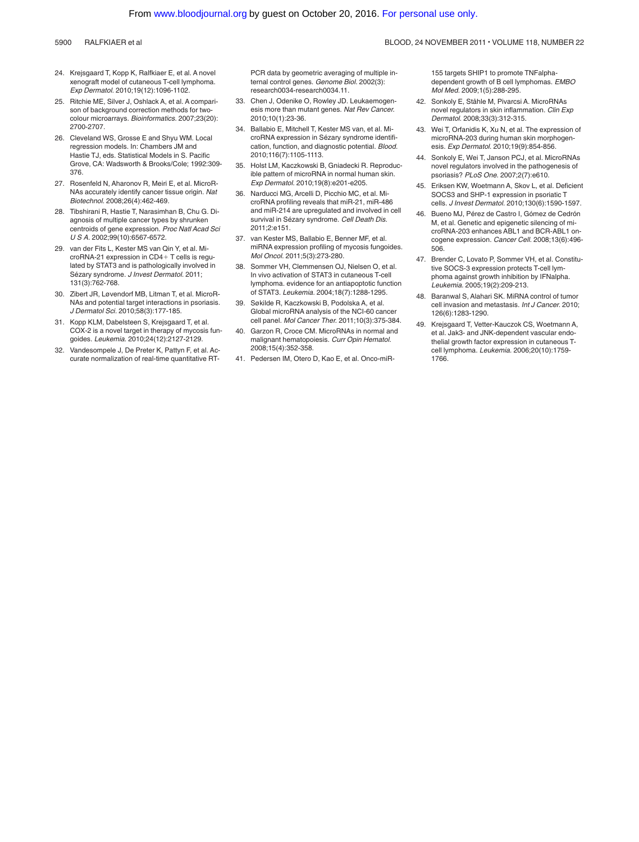- 24. Krejsgaard T, Kopp K, Ralfkiaer E, et al. A novel xenograft model of cutaneous T-cell lymphoma. *Exp Dermatol.* 2010;19(12):1096-1102.
- 25. Ritchie ME, Silver J, Oshlack A, et al. A comparison of background correction methods for twocolour microarrays. *Bioinformatics.* 2007;23(20): 2700-2707.
- 26. Cleveland WS, Grosse E and Shyu WM. Local regression models. In: Chambers JM and Hastie TJ, eds. Statistical Models in S. Pacific Grove, CA: Wadsworth & Brooks/Cole; 1992:309- 376.
- 27. Rosenfeld N, Aharonov R, Meiri E, et al. MicroR-NAs accurately identify cancer tissue origin. *Nat Biotechnol.* 2008;26(4):462-469.
- 28. Tibshirani R, Hastie T, Narasimhan B, Chu G. Diagnosis of multiple cancer types by shrunken centroids of gene expression. *Proc Natl Acad Sci U S A.* 2002;99(10):6567-6572.
- 29. van der Fits L, Kester MS van Qin Y, et al. MicroRNA-21 expression in CD4- T cells is regulated by STAT3 and is pathologically involved in Sézary syndrome. *J Invest Dermatol.* 2011; 131(3):762-768.
- 30. Zibert JR, Løvendorf MB, Litman T, et al. MicroR-NAs and potential target interactions in psoriasis. *J Dermatol Sci.* 2010;58(3):177-185.
- 31. Kopp KLM, Dabelsteen S, Krejsgaard T, et al. COX-2 is a novel target in therapy of mycosis fungoides. *Leukemia.* 2010;24(12):2127-2129.
- 32. Vandesompele J, De Preter K, Pattyn F, et al. Accurate normalization of real-time quantitative RT-

PCR data by geometric averaging of multiple internal control genes. *Genome Biol.* 2002(3): research0034-research0034.11.

- 33. Chen J, Odenike O, Rowley JD. Leukaemogenesis more than mutant genes. *Nat Rev Cancer.* 2010;10(1):23-36.
- 34. Ballabio E, Mitchell T, Kester MS van, et al. MicroRNA expression in Sézary syndrome identification, function, and diagnostic potential. *Blood.* 2010;116(7):1105-1113.
- 35. Holst LM, Kaczkowski B, Gniadecki R. Reproducible pattern of microRNA in normal human skin. *Exp Dermatol.* 2010;19(8):e201-e205.
- 36. Narducci MG, Arcelli D, Picchio MC, et al. MicroRNA profiling reveals that miR-21, miR-486 and miR-214 are upregulated and involved in cell survival in Sézary syndrome. Cell Death Dis. 2011;2:e151.
- 37. van Kester MS, Ballabio E, Benner MF, et al. miRNA expression profiling of mycosis fungoides. *Mol Oncol.* 2011;5(3):273-280.
- 38. Sommer VH, Clemmensen OJ, Nielsen O, et al. In vivo activation of STAT3 in cutaneous T-cell lymphoma. evidence for an antiapoptotic function of STAT3. *Leukemia.* 2004;18(7):1288-1295.
- 39. Søkilde R, Kaczkowski B, Podolska A, et al. Global microRNA analysis of the NCI-60 cancer cell panel. *Mol Cancer Ther.* 2011;10(3):375-384.
- 40. Garzon R, Croce CM. MicroRNAs in normal and malignant hematopoiesis. *Curr Opin Hematol.* 2008;15(4):352-358.
- 41. Pedersen IM, Otero D, Kao E, et al. Onco-miR-

155 targets SHIP1 to promote TNFalphadependent growth of B cell lymphomas. *EMBO Mol Med.* 2009;1(5):288-295.

- 42. Sonkoly E, Ståhle M, Pivarcsi A. MicroRNAs novel regulators in skin inflammation. *Clin Exp Dermatol.* 2008;33(3):312-315.
- 43. Wei T, Orfanidis K, Xu N, et al. The expression of microRNA-203 during human skin morphogenesis. *Exp Dermatol.* 2010;19(9):854-856.
- 44. Sonkoly E, Wei T, Janson PCJ, et al. MicroRNAs novel regulators involved in the pathogenesis of psoriasis? *PLoS One.* 2007;2(7):e610.
- 45. Eriksen KW, Woetmann A, Skov L, et al. Deficient SOCS3 and SHP-1 expression in psoriatic T cells. *J Invest Dermatol.* 2010;130(6):1590-1597.
- 46. Bueno MJ, Pérez de Castro I, Gómez de Cedrón M, et al. Genetic and epigenetic silencing of microRNA-203 enhances ABL1 and BCR-ABL1 oncogene expression. *Cancer Cell.* 2008;13(6):496- 506.
- 47. Brender C, Lovato P, Sommer VH, et al. Constitutive SOCS-3 expression protects T-cell lymphoma against growth inhibition by IFNalpha. *Leukemia.* 2005;19(2):209-213.
- 48. Baranwal S, Alahari SK. MiRNA control of tumor cell invasion and metastasis. *Int J Cancer.* 2010; 126(6):1283-1290.
- 49. Krejsgaard T, Vetter-Kauczok CS, Woetmann A, et al. Jak3- and JNK-dependent vascular endothelial growth factor expression in cutaneous Tcell lymphoma. *Leukemia.* 2006;20(10):1759- 1766.

### 5900 RALFKIAER et al BLOOD, 24 NOVEMBER 2011 • VOLUME 118, NUMBER 22